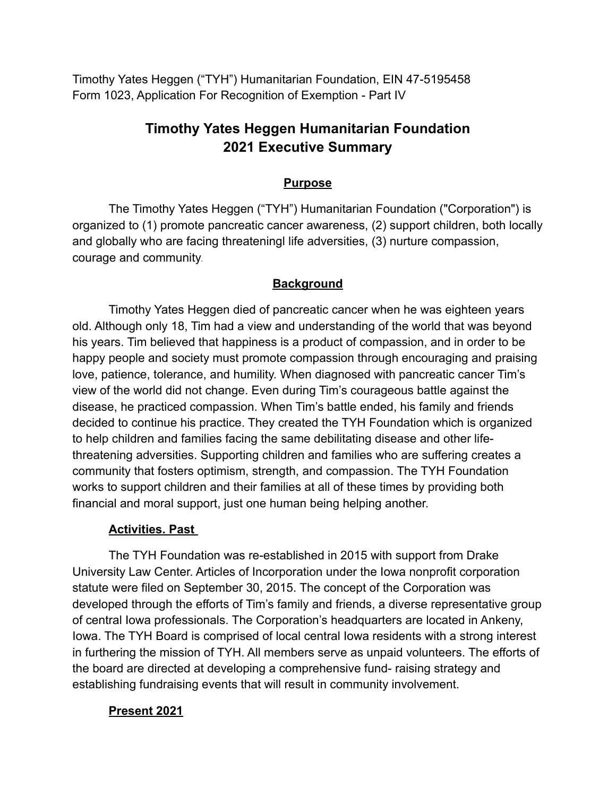Timothy Yates Heggen ("TYH") Humanitarian Foundation, EIN 47-5195458 Form 1023, Application For Recognition of Exemption - Part IV

# **Timothy Yates Heggen Humanitarian Foundation 2021 Executive Summary**

## **Purpose**

The Timothy Yates Heggen ("TYH") Humanitarian Foundation ("Corporation") is organized to (1) promote pancreatic cancer awareness, (2) support children, both locally and globally who are facing threateningl life adversities, (3) nurture compassion, courage and community.

# **Background**

Timothy Yates Heggen died of pancreatic cancer when he was eighteen years old. Although only 18, Tim had a view and understanding of the world that was beyond his years. Tim believed that happiness is a product of compassion, and in order to be happy people and society must promote compassion through encouraging and praising love, patience, tolerance, and humility. When diagnosed with pancreatic cancer Tim's view of the world did not change. Even during Tim's courageous battle against the disease, he practiced compassion. When Tim's battle ended, his family and friends decided to continue his practice. They created the TYH Foundation which is organized to help children and families facing the same debilitating disease and other lifethreatening adversities. Supporting children and families who are suffering creates a community that fosters optimism, strength, and compassion. The TYH Foundation works to support children and their families at all of these times by providing both financial and moral support, just one human being helping another.

# **Activities. Past**

The TYH Foundation was re-established in 2015 with support from Drake University Law Center. Articles of Incorporation under the Iowa nonprofit corporation statute were filed on September 30, 2015. The concept of the Corporation was developed through the efforts of Tim's family and friends, a diverse representative group of central Iowa professionals. The Corporation's headquarters are located in Ankeny, Iowa. The TYH Board is comprised of local central Iowa residents with a strong interest in furthering the mission of TYH. All members serve as unpaid volunteers. The efforts of the board are directed at developing a comprehensive fund- raising strategy and establishing fundraising events that will result in community involvement.

## **Present 2021**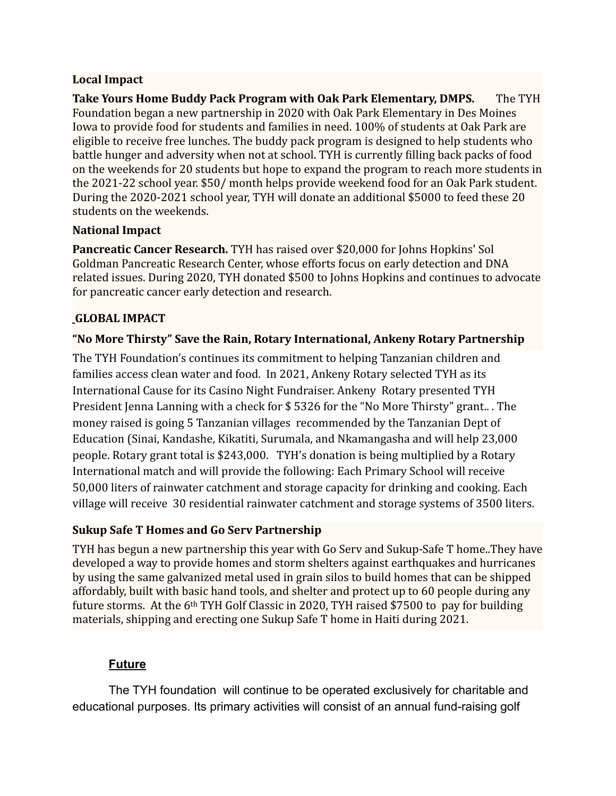#### **Local Impact**

**Take Yours Home Buddy Pack Program with Oak Park Elementary, DMPS.** The TYH Foundation began a new partnership in 2020 with Oak Park Elementary in Des Moines Iowa to provide food for students and families in need. 100% of students at Oak Park are eligible to receive free lunches. The buddy pack program is designed to help students who battle hunger and adversity when not at school. TYH is currently filling back packs of food on the weekends for 20 students but hope to expand the program to reach more students in the 2021-22 school year. \$50/ month helps provide weekend food for an Oak Park student. During the 2020-2021 school year, TYH will donate an additional \$5000 to feed these 20 students on the weekends.

## **National Impact**

**Pancreatic Cancer Research.** TYH has raised over \$20,000 for Johns Hopkins' Sol Goldman Pancreatic Research Center, whose efforts focus on early detection and DNA related issues. During 2020, TYH donated \$500 to Johns Hopkins and continues to advocate for pancreatic cancer early detection and research.

## **GLOBAL IMPACT**

#### "No More Thirsty" Save the Rain, Rotary International, Ankeny Rotary Partnership

The TYH Foundation's continues its commitment to helping Tanzanian children and families access clean water and food. In 2021, Ankeny Rotary selected TYH as its International Cause for its Casino Night Fundraiser. Ankeny Rotary presented TYH President Jenna Lanning with a check for  $\frac{1}{2}$  5326 for the "No More Thirsty" grant... The money raised is going 5 Tanzanian villages recommended by the Tanzanian Dept of Education (Sinai, Kandashe, Kikatiti, Surumala, and Nkamangasha and will help 23,000 people. Rotary grant total is \$243,000. TYH's donation is being multiplied by a Rotary International match and will provide the following: Each Primary School will receive 50,000 liters of rainwater catchment and storage capacity for drinking and cooking. Each village will receive 30 residential rainwater catchment and storage systems of 3500 liters.

## **Sukup Safe T Homes and Go Serv Partnership**

TYH has begun a new partnership this year with Go Serv and Sukup-Safe T home..They have developed a way to provide homes and storm shelters against earthquakes and hurricanes by using the same galvanized metal used in grain silos to build homes that can be shipped affordably, built with basic hand tools, and shelter and protect up to 60 people during any future storms. At the  $6<sup>th</sup>$  TYH Golf Classic in 2020, TYH raised \$7500 to pay for building materials, shipping and erecting one Sukup Safe T home in Haiti during 2021.

## **Future**

The TYH foundation will continue to be operated exclusively for charitable and educational purposes. Its primary activities will consist of an annual fund-raising golf